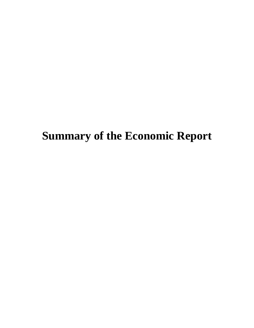# **Summary of the Economic Report**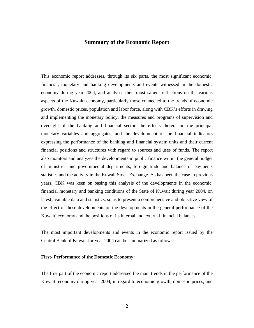# **Summary of the Economic Report**

This economic report addresses, through its six parts, the most significant economic, financial, monetary and banking developments and events witnessed in the domestic economy during year 2004, and analyses their most salient reflections on the various aspects of the Kuwaiti economy, particularly those connected to the trends of economic growth, domestic prices, population and labor force, along with CBK's efforts in drawing and implementing the monetary policy, the measures and programs of supervision and oversight of the banking and financial sector, the effects thereof on the principal monetary variables and aggregates, and the development of the financial indicators expressing the performance of the banking and financial system units and their current financial positions and structures with regard to sources and uses of funds. The report also monitors and analyzes the developments in public finance within the general budget of ministries and governmental departments, foreign trade and balance of payments statistics and the activity in the Kuwait Stock Exchange. As has been the case in previous years, CBK was keen on basing this analysis of the developments in the economic, financial monetary and banking conditions of the State of Kuwait during year 2004, on latest available data and statistics, so as to present a comprehensive and objective view of the effect of these developments on the developments in the general performance of the Kuwaiti economy and the positions of its internal and external financial balances.

The most important developments and events in the economic report issued by the Central Bank of Kuwait for year 2004 can be summarized as follows:

#### **First- Performance of the Domestic Economy:**

The first part of the economic report addressed the main trends in the performance of the Kuwaiti economy during year 2004, in regard to economic growth, domestic prices, and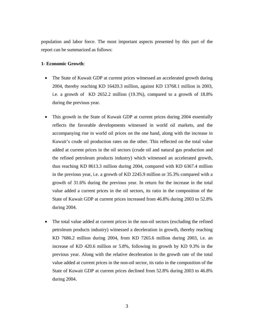population and labor force. The most important aspects presented by this part of the report can be summarized as follows:

## **1- Economic Growth**:

- The State of Kuwait GDP at current prices witnessed an accelerated growth during 2004, thereby reaching KD 16420.3 million, against KD 13768.1 million in 2003, i.e. a growth of KD 2652.2 million (19.3%), compared to a growth of 18.8% during the previous year.
- This growth in the State of Kuwait GDP at current prices during 2004 essentially reflects the favorable developments witnessed in world oil markets, and the accompanying rise in world oil prices on the one hand, along with the increase in Kuwait's crude oil production rates on the other. This reflected on the total value added at current prices in the oil sectors (crude oil and natural gas production and the refined petroleum products industry) which witnessed an accelerated growth, thus reaching KD 8613.3 million during 2004, compared with KD 6367.4 million in the previous year, i.e. a growth of KD 2245.9 million or 35.3% compared with a growth of 31.6% during the previous year. In return for the increase in the total value added a current prices in the oil sectors, its ratio in the composition of the State of Kuwait GDP at current prices increased from 46.8% during 2003 to 52.8% during 2004.
- The total value added at current prices in the non-oil sectors (excluding the refined petroleum products industry) witnessed a deceleration in growth, thereby reaching KD 7686.2 million during 2004, from KD 7265.6 million during 2003, i.e. an increase of KD 420.6 million or 5.8%, following its growth by KD 9.3% in the previous year. Along with the relative deceleration in the growth rate of the total value added at current prices in the non-oil sector, its ratio in the composition of the State of Kuwait GDP at current prices declined from 52.8% during 2003 to 46.8% during 2004.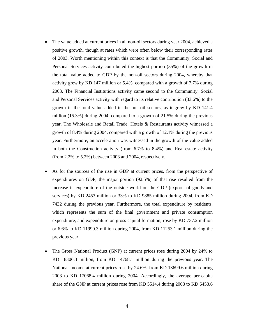- The value added at current prices in all non-oil sectors during year 2004, achieved a positive growth, though at rates which were often below their corresponding rates of 2003. Worth mentioning within this context is that the Community, Social and Personal Services activity contributed the highest portion (35%) of the growth in the total value added to GDP by the non-oil sectors during 2004, whereby that activity grew by KD 147 million or 5.4%, compared with a growth of 7.7% during 2003. The Financial Institutions activity came second to the Community, Social and Personal Services activity with regard to its relative contribution (33.6%) to the growth in the total value added in the non-oil sectors, as it grew by KD 141.4 million (15.3%) during 2004, compared to a growth of 21.5% during the previous year. The Wholesale and Retail Trade, Hotels & Restaurants activity witnessed a growth of 8.4% during 2004, compared with a growth of 12.1% during the previous year. Furthermore, an acceleration was witnessed in the growth of the value added in both the Construction activity (from 6.7% to 8.4%) and Real-estate activity (from 2.2% to 5.2%) between 2003 and 2004, respectively.
- As for the sources of the rise in GDP at current prices, from the perspective of expenditures on GDP, the major portion (92.5%) of that rise resulted from the increase in expenditure of the outside world on the GDP (exports of goods and services) by KD 2453 million or 33% to KD 9885 million during 2004, from KD 7432 during the previous year. Furthermore, the total expenditure by residents, which represents the sum of the final government and private consumption expenditure, and expenditure on gross capital formation, rose by KD 737.2 million or 6.6% to KD 11990.3 million during 2004, from KD 11253.1 million during the previous year.
- The Gross National Product (GNP) at current prices rose during 2004 by 24% to KD 18306.3 million, from KD 14768.1 million during the previous year. The National Income at current prices rose by 24.6%, from KD 13699.6 million during 2003 to KD 17068.4 million during 2004. Accordingly, the average per-capita share of the GNP at current prices rose from KD 5514.4 during 2003 to KD 6453.6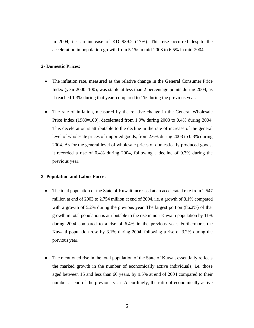in 2004, i.e. an increase of KD 939.2 (17%). This rise occurred despite the acceleration in population growth from 5.1% in mid-2003 to 6.5% in mid-2004.

# **2- Domestic Prices:**

- The inflation rate, measured as the relative change in the General Consumer Price Index (year  $2000=100$ ), was stable at less than 2 percentage points during 2004, as it reached 1.3% during that year, compared to 1% during the previous year.
- The rate of inflation, measured by the relative change in the General Wholesale Price Index (1980=100), decelerated from 1.9% during 2003 to 0.4% during 2004. This deceleration is attributable to the decline in the rate of increase of the general level of wholesale prices of imported goods, from 2.6% during 2003 to 0.3% during 2004. As for the general level of wholesale prices of domestically produced goods, it recorded a rise of 0.4% during 2004, following a decline of 0.3% during the previous year.

#### **3- Population and Labor Force:**

- The total population of the State of Kuwait increased at an accelerated rate from 2.547 million at end of 2003 to 2.754 million at end of 2004, i.e. a growth of 8.1% compared with a growth of 5.2% during the previous year. The largest portion (86.2%) of that growth in total population is attributable to the rise in non-Kuwaiti population by 11% during 2004 compared to a rise of 6.4% in the previous year. Furthermore, the Kuwaiti population rose by 3.1% during 2004, following a rise of 3.2% during the previous year.
- The mentioned rise in the total population of the State of Kuwait essentially reflects the marked growth in the number of economically active individuals, i.e. those aged between 15 and less than 60 years, by 9.5% at end of 2004 compared to their number at end of the previous year. Accordingly, the ratio of economically active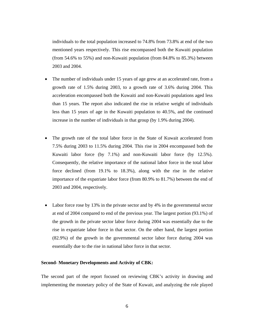individuals to the total population increased to 74.8% from 73.8% at end of the two mentioned years respectively. This rise encompassed both the Kuwaiti population (from 54.6% to 55%) and non-Kuwaiti population (from 84.8% to 85.3%) between 2003 and 2004.

- The number of individuals under 15 years of age grew at an accelerated rate, from a growth rate of 1.5% during 2003, to a growth rate of 3.6% during 2004. This acceleration encompassed both the Kuwaiti and non-Kuwaiti populations aged less than 15 years. The report also indicated the rise in relative weight of individuals less than 15 years of age in the Kuwaiti population to 40.5%, and the continued increase in the number of individuals in that group (by 1.9% during 2004).
- The growth rate of the total labor force in the State of Kuwait accelerated from 7.5% during 2003 to 11.5% during 2004. This rise in 2004 encompassed both the Kuwaiti labor force (by 7.1%) and non-Kuwaiti labor force (by 12.5%). Consequently, the relative importance of the national labor force in the total labor force declined (from 19.1% to 18.3%), along with the rise in the relative importance of the expatriate labor force (from 80.9% to 81.7%) between the end of 2003 and 2004, respectively.
- Labor force rose by 13% in the private sector and by 4% in the governmental sector at end of 2004 compared to end of the previous year. The largest portion (93.1%) of the growth in the private sector labor force during 2004 was essentially due to the rise in expatriate labor force in that sector. On the other hand, the largest portion (82.9%) of the growth in the governmental sector labor force during 2004 was essentially due to the rise in national labor force in that sector.

#### **Second- Monetary Developments and Activity of CBK:**

The second part of the report focused on reviewing CBK's activity in drawing and implementing the monetary policy of the State of Kuwait, and analyzing the role played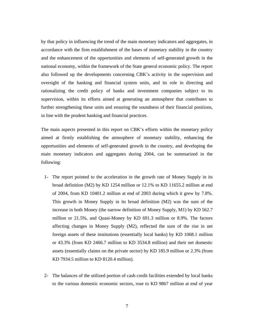by that policy in influencing the trend of the main monetary indicators and aggregates, in accordance with the firm establishment of the bases of monetary stability in the country and the enhancement of the opportunities and elements of self-generated growth in the national economy, within the framework of the State general economic policy. The report also followed up the developments concerning CBK's activity in the supervision and oversight of the banking and financial system units, and its role in directing and rationalizing the credit policy of banks and investment companies subject to its supervision, within its efforts aimed at generating an atmosphere that contributes to further strengthening these units and ensuring the soundness of their financial positions, in line with the prudent banking and financial practices.

The main aspects presented in this report on CBK's efforts within the monetary policy aimed at firmly establishing the atmosphere of monetary stability, enhancing the opportunities and elements of self-generated growth in the country, and developing the main monetary indicators and aggregates during 2004, can be summarized in the following:

- 1- The report pointed to the acceleration in the growth rate of Money Supply in its broad definition (M2) by KD 1254 million or 12.1% to KD 11655.2 million at end of 2004, from KD 10401.2 million at end of 2003 during which it grew by 7.8%. This growth in Money Supply in its broad definition (M2) was the sum of the increase in both Money (the narrow definition of Money Supply, M1) by KD 562.7 million or 21.5%, and Quasi-Money by KD 691.3 million or 8.9%. The factors affecting changes in Money Supply (M2), reflected the sum of the rise in net foreign assets of these institutions (essentially local banks) by KD 1068.1 million or 43.3% (from KD 2466.7 million to KD 3534.8 million) and their net domestic assets (essentially claims on the private sector) by KD 185.9 million or 2.3% (from KD 7934.5 million to KD 8120.4 million).
- 2- The balances of the utilized portion of cash credit facilities extended by local banks to the various domestic economic sectors, rose to KD 9867 million at end of year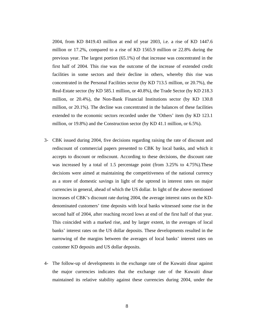2004, from KD 8419.43 million at end of year 2003, i.e. a rise of KD 1447.6 million or 17.2%, compared to a rise of KD 1565.9 million or 22.8% during the previous year. The largest portion (65.1%) of that increase was concentrated in the first half of 2004. This rise was the outcome of the increase of extended credit facilities in some sectors and their decline in others, whereby this rise was concentrated in the Personal Facilities sector (by KD 713.5 million, or 20.7%), the Real-Estate sector (by KD 585.1 million, or 40.8%), the Trade Sector (by KD 218.3 million, or 20.4%), the Non-Bank Financial Institutions sector (by KD 130.8 million, or 20.1%). The decline was concentrated in the balances of these facilities extended to the economic sectors recorded under the 'Others' item (by KD 123.1 million, or 19.8%) and the Construction sector (by KD 41.1 million, or 6.5%).

- 3- CBK issued during 2004, five decisions regarding raising the rate of discount and rediscount of commercial papers presented to CBK by local banks, and which it accepts to discount or rediscount. According to these decisions, the discount rate was increased by a total of 1.5 percentage point (from 3.25% to 4.75%). These decisions were aimed at maintaining the competitiveness of the national currency as a store of domestic savings in light of the uptrend in interest rates on major currencies in general, ahead of which the US dollar. In light of the above mentioned increases of CBK's discount rate during 2004, the average interest rates on the KDdenominated customers' time deposits with local banks witnessed some rise in the second half of 2004, after reaching record lows at end of the first half of that year. This coincided with a marked rise, and by larger extent, in the averages of local banks' interest rates on the US dollar deposits. These developments resulted in the narrowing of the margins between the averages of local banks' interest rates on customer KD deposits and US dollar deposits.
- 4- The follow-up of developments in the exchange rate of the Kuwaiti dinar against the major currencies indicates that the exchange rate of the Kuwaiti dinar maintained its relative stability against these currencies during 2004, under the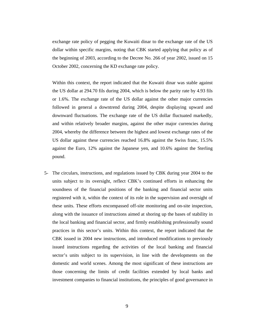exchange rate policy of pegging the Kuwaiti dinar to the exchange rate of the US dollar within specific margins, noting that CBK started applying that policy as of the beginning of 2003, according to the Decree No. 266 of year 2002, issued on 15 October 2002, concerning the KD exchange rate policy.

Within this context, the report indicated that the Kuwaiti dinar was stable against the US dollar at 294.70 fils during 2004, which is below the parity rate by 4.93 fils or 1.6%. The exchange rate of the US dollar against the other major currencies followed in general a downtrend during 2004, despite displaying upward and downward fluctuations. The exchange rate of the US dollar fluctuated markedly, and within relatively broader margins, against the other major currencies during 2004, whereby the difference between the highest and lowest exchange rates of the US dollar against these currencies reached 16.8% against the Swiss franc, 15.5% against the Euro, 12% against the Japanese yen, and 10.6% against the Sterling pound.

5- The circulars, instructions, and regulations issued by CBK during year 2004 to the units subject to its oversight, reflect CBK's continued efforts in enhancing the soundness of the financial positions of the banking and financial sector units registered with it, within the context of its role in the supervision and oversight of these units. These efforts encompassed off-site monitoring and on-site inspection, along with the issuance of instructions aimed at shoring up the bases of stability in the local banking and financial sector, and firmly establishing professionally sound practices in this sector's units. Within this context, the report indicated that the CBK issued in 2004 new instructions, and introduced modifications to previously issued instructions regarding the activities of the local banking and financial sector's units subject to its supervision, in line with the developments on the domestic and world scenes. Among the most significant of these instructions are those concerning the limits of credit facilities extended by local banks and investment companies to financial institutions, the principles of good governance in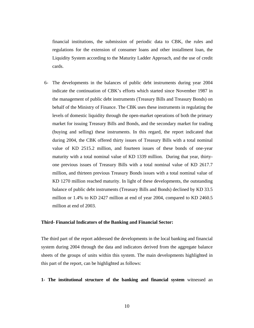financial institutions, the submission of periodic data to CBK, the rules and regulations for the extension of consumer loans and other installment loan, the Liquidity System according to the Maturity Ladder Approach, and the use of credit cards.

6- The developments in the balances of public debt instruments during year 2004 indicate the continuation of CBK's efforts which started since November 1987 in the management of public debt instruments (Treasury Bills and Treasury Bonds) on behalf of the Ministry of Finance. The CBK uses these instruments in regulating the levels of domestic liquidity through the open-market operations of both the primary market for issuing Treasury Bills and Bonds, and the secondary market for trading (buying and selling) these instruments. In this regard, the report indicated that during 2004, the CBK offered thirty issues of Treasury Bills with a total nominal value of KD 2515.2 million, and fourteen issues of these bonds of one-year maturity with a total nominal value of KD 1339 million. During that year, thirtyone previous issues of Treasury Bills with a total nominal value of KD 2617.7 million, and thirteen previous Treasury Bonds issues with a total nominal value of KD 1270 million reached maturity. In light of these developments, the outstanding balance of public debt instruments (Treasury Bills and Bonds) declined by KD 33.5 million or 1.4% to KD 2427 million at end of year 2004, compared to KD 2460.5 million at end of 2003.

#### **Third- Financial Indicators of the Banking and Financial Sector:**

The third part of the report addressed the developments in the local banking and financial system during 2004 through the data and indicators derived from the aggregate balance sheets of the groups of units within this system. The main developments highlighted in this part of the report, can be highlighted as follows:

**1- The institutional structure of the banking and financial system** witnessed an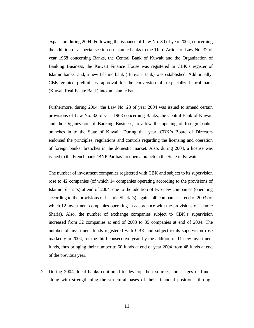expansion during 2004. Following the issuance of Law No. 30 of year 2004, concerning the addition of a special section on Islamic banks to the Third Article of Law No. 32 of year 1968 concerning Banks, the Central Bank of Kuwait and the Organization of Banking Business, the Kuwait Finance House was registered in CBK's register of Islamic banks, and, a new Islamic bank (Bubyan Bank) was established. Additionally, CBK granted preliminary approval for the conversion of a specialized local bank (Kuwait Real-Estate Bank) into an Islamic bank.

Furthermore, during 2004, the Law No. 28 of year 2004 was issued to amend certain provisions of Law No. 32 of year 1968 concerning Banks, the Central Bank of Kuwait and the Organization of Banking Business, to allow the opening of foreign banks' branches in to the State of Kuwait. During that year, CBK's Board of Directors endorsed the principles, regulations and controls regarding the licensing and operation of foreign banks' branches in the domestic market. Also, during 2004, a license was issued to the French bank 'BNP Paribas' to open a branch in the State of Kuwait.

The number of investment companies registered with CBK and subject to its supervision rose to 42 companies (of which 14 companies operating according to the provisions of Islamic Sharia's) at end of 2004, due to the addition of two new companies (operating according to the provisions of Islamic Sharia's), against 40 companies at end of 2003 (of which 12 investment companies operating in accordance with the provisions of Islamic Sharia). Also, the number of exchange companies subject to CBK's supervision increased from 32 companies at end of 2003 to 35 companies at end of 2004. The number of investment funds registered with CBK and subject to its supervision rose markedly in 2004, for the third consecutive year, by the addition of 11 new investment funds, thus bringing their number to 60 funds at end of year 2004 from 48 funds at end of the previous year.

2- During 2004, local banks continued to develop their sources and usages of funds, along with strengthening the structural bases of their financial positions, through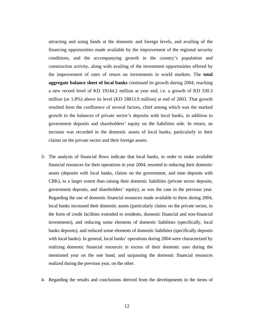attracting and using funds at the domestic and foreign levels, and availing of the financing opportunities made available by the improvement of the regional security conditions, and the accompanying growth in the country's population and construction activity, along with availing of the investment opportunities offered by the improvement of rates of return on investments in world markets. The **total aggregate balance sheet of local banks** continued its growth during 2004, reaching a new record level of KD 19144.2 million at year end, i.e. a growth of KD 330.3 million (or 1.8%) above its level (KD 18813.9 million) at end of 2003. That growth resulted form the confluence of several factors, chief among which was the marked growth in the balances of private sector's deposits with local banks, in addition to government deposits and shareholders' equity on the liabilities side. In return, an increase was recorded in the domestic assets of local banks, particularly in their claims on the private sector and their foreign assets.

- 3- The analysis of financial flows indicate that local banks, in order to make available financial resources for their operations in year 2004, resorted to reducing their domestic assets (deposits with local banks, claims on the government, and time deposits with CBK), to a larger extent than raising their domestic liabilities (private sector deposits, government deposits, and shareholders' equity), as was the case in the previous year. Regarding the use of domestic financial resources made available to them during 2004, local banks increased their domestic assets (particularly claims on the private sector, in the form of credit facilities extended to residents, domestic financial and non-financial investments), and reducing some elements of domestic liabilities (specifically, local banks deposits), and reduced some elements of domestic liabilities (specifically deposits with local banks). In general, local banks' operations during 2004 were characterized by realizing domestic financial resources in excess of their domestic uses during the mentioned year on the one hand, and surpassing the domestic financial resources realized during the previous year, on the other.
- 4- Regarding the results and conclusions derived from the developments in the items of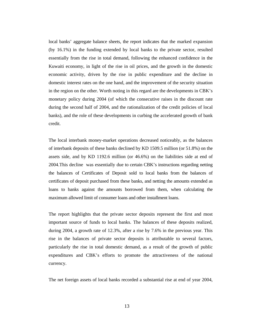local banks' aggregate balance sheets, the report indicates that the marked expansion (by 16.1%) in the funding extended by local banks to the private sector, resulted essentially from the rise in total demand, following the enhanced confidence in the Kuwaiti economy, in light of the rise in oil prices, and the growth in the domestic economic activity, driven by the rise in public expenditure and the decline in domestic interest rates on the one hand, and the improvement of the security situation in the region on the other. Worth noting in this regard are the developments in CBK's monetary policy during 2004 (of which the consecutive raises in the discount rate during the second half of 2004, and the rationalization of the credit policies of local banks), and the role of these developments in curbing the accelerated growth of bank credit.

The local interbank money-market operations decreased noticeably, as the balances of interbank deposits of these banks declined by KD 1509.5 million (or 51.8%) on the assets side, and by KD 1192.6 million (or 46.6%) on the liabilities side at end of 2004.This decline was essentially due to certain CBK's instructions regarding netting the balances of Certificates of Deposit sold to local banks from the balances of certificates of deposit purchased from these banks, and netting the amounts extended as loans to banks against the amounts borrowed from them, when calculating the maximum allowed limit of consumer loans and other installment loans.

The report highlights that the private sector deposits represent the first and most important source of funds to local banks. The balances of these deposits realized, during 2004, a growth rate of 12.3%, after a rise by 7.6% in the previous year. This rise in the balances of private sector deposits is attributable to several factors, particularly the rise in total domestic demand, as a result of the growth of public expenditures and CBK's efforts to promote the attractiveness of the national currency.

The net foreign assets of local banks recorded a substantial rise at end of year 2004,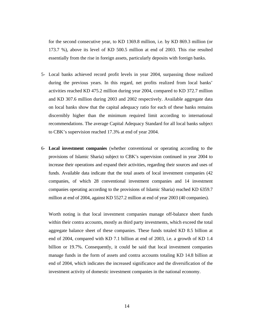for the second consecutive year, to KD 1369.8 million, i.e. by KD 869.3 million (or 173.7 %), above its level of KD 500.5 million at end of 2003. This rise resulted essentially from the rise in foreign assets, particularly deposits with foreign banks.

- 5- Local banks achieved record profit levels in year 2004, surpassing those realized during the previous years. In this regard, net profits realized from local banks' activities reached KD 475.2 million during year 2004, compared to KD 372.7 million and KD 307.6 million during 2003 and 2002 respectively. Available aggregate data on local banks show that the capital adequacy ratio for each of these banks remains discernibly higher than the minimum required limit according to international recommendations. The average Capital Adequacy Standard for all local banks subject to CBK's supervision reached 17.3% at end of year 2004.
- 6- **Local investment companies** (whether conventional or operating according to the provisions of Islamic Sharia) subject to CBK's supervision continued in year 2004 to increase their operations and expand their activities, regarding their sources and uses of funds. Available data indicate that the total assets of local investment companies (42 companies, of which 28 conventional investment companies and 14 investment companies operating according to the provisions of Islamic Sharia) reached KD 6359.7 million at end of 2004, against KD 5527.2 million at end of year 2003 (40 companies).

Worth noting is that local investment companies manage off-balance sheet funds within their contra accounts, mostly as third party investments, which exceed the total aggregate balance sheet of these companies. These funds totaled KD 8.5 billion at end of 2004, compared with KD 7.1 billion at end of 2003, i.e. a growth of KD 1.4 billion or 19.7%. Consequently, it could be said that local investment companies manage funds in the form of assets and contra accounts totaling KD 14.8 billion at end of 2004, which indicates the increased significance and the diversification of the investment activity of domestic investment companies in the national economy.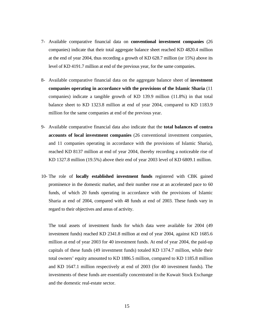- 7- Available comparative financial data on **conventional investment companies** (26 companies) indicate that their total aggregate balance sheet reached KD 4820.4 million at the end of year 2004, thus recording a growth of KD 628.7 million (or 15%) above its level of KD 4191.7 million at end of the previous year, for the same companies.
- 8- Available comparative financial data on the aggregate balance sheet of **investment companies operating in accordance with the provisions of the Islamic Sharia** (11 companies) indicate a tangible growth of KD 139.9 million (11.8%) in that total balance sheet to KD 1323.8 million at end of year 2004, compared to KD 1183.9 million for the same companies at end of the previous year.
- 9- Available comparative financial data also indicate that the **total balances of contra accounts of local investment companies** (26 conventional investment companies, and 11 companies operating in accordance with the provisions of Islamic Sharia), reached KD 8137 million at end of year 2004, thereby recording a noticeable rise of KD 1327.8 million (19.5%) above their end of year 2003 level of KD 6809.1 million.
- 10- The role of **locally established investment funds** registered with CBK gained prominence in the domestic market, and their number rose at an accelerated pace to 60 funds, of which 20 funds operating in accordance with the provisions of Islamic Sharia at end of 2004, compared with 48 funds at end of 2003. These funds vary in regard to their objectives and areas of activity.

The total assets of investment funds for which data were available for 2004 (49 investment funds) reached KD 2341.8 million at end of year 2004, against KD 1685.6 million at end of year 2003 for 40 investment funds. At end of year 2004, the paid-up capitals of these funds (49 investment funds) totaled KD 1374.7 million, while their total owners' equity amounted to KD 1886.5 million, compared to KD 1185.8 million and KD 1647.1 million respectively at end of 2003 (for 40 investment funds). The investments of these funds are essentially concentrated in the Kuwait Stock Exchange and the domestic real-estate sector.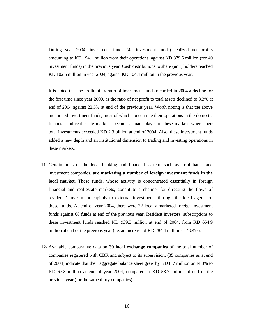During year 2004, investment funds (49 investment funds) realized net profits amounting to KD 194.1 million from their operations, against KD 379.6 million (for 40 investment funds) in the previous year. Cash distributions to share (unit) holders reached KD 102.5 million in year 2004, against KD 104.4 million in the previous year.

It is noted that the profitability ratio of investment funds recorded in 2004 a decline for the first time since year 2000, as the ratio of net profit to total assets declined to 8.3% at end of 2004 against 22.5% at end of the previous year. Worth noting is that the above mentioned investment funds, most of which concentrate their operations in the domestic financial and real-estate markets, became a main player in these markets where their total investments exceeded KD 2.3 billion at end of 2004. Also, these investment funds added a new depth and an institutional dimension to trading and investing operations in these markets.

- 11- Certain units of the local banking and financial system, such as local banks and investment companies, **are marketing a number of foreign investment funds in the local market**. These funds, whose activity is concentrated essentially in foreign financial and real-estate markets, constitute a channel for directing the flows of residents' investment capitals to external investments through the local agents of these funds. At end of year 2004, there were 72 locally-marketed foreign investment funds against 68 funds at end of the previous year. Resident investors' subscriptions to these investment funds reached KD 939.3 million at end of 2004, from KD 654.9 million at end of the previous year (i.e. an increase of KD 284.4 million or 43.4%).
- 12- Available comparative data on 30 **local exchange companies** of the total number of companies registered with CBK and subject to its supervision, (35 companies as at end of 2004) indicate that their aggregate balance sheet grew by KD 8.7 million or 14.8% to KD 67.3 million at end of year 2004, compared to KD 58.7 million at end of the previous year (for the same thirty companies).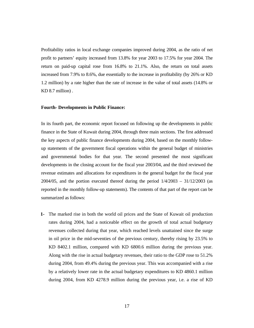Profitability ratios in local exchange companies improved during 2004, as the ratio of net profit to partners' equity increased from 13.8% for year 2003 to 17.5% for year 2004. The return on paid-up capital rose from 16.8% to 21.1%. Also, the return on total assets increased from 7.9% to 8.6%, due essentially to the increase in profitability (by 26% or KD 1.2 million) by a rate higher than the rate of increase in the value of total assets (14.8% or KD 8.7 million) .

### **Fourth- Developments in Public Finance:**

In its fourth part, the economic report focused on following up the developments in public finance in the State of Kuwait during 2004, through three main sections. The first addressed the key aspects of public finance developments during 2004, based on the monthly followup statements of the government fiscal operations within the general budget of ministries and governmental bodies for that year. The second presented the most significant developments in the closing account for the fiscal year 2003/04, and the third reviewed the revenue estimates and allocations for expenditures in the general budget for the fiscal year 2004/05, and the portion executed thereof during the period  $1/4/2003 - 31/12/2003$  (as reported in the monthly follow-up statements). The contents of that part of the report can be summarized as follows:

**1-** The marked rise in both the world oil prices and the State of Kuwait oil production rates during 2004, had a noticeable effect on the growth of total actual budgetary revenues collected during that year, which reached levels unattained since the surge in oil price in the mid-seventies of the previous century, thereby rising by 23.5% to KD 8402.1 million, compared with KD 6800.6 million during the previous year. Along with the rise in actual budgetary revenues, their ratio to the GDP rose to 51.2% during 2004, from 49.4% during the previous year. This was accompanied with a rise by a relatively lower rate in the actual budgetary expenditures to KD 4860.1 million during 2004, from KD 4278.9 million during the previous year, i.e. a rise of KD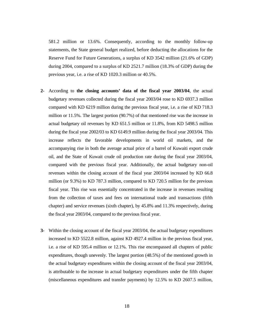581.2 million or 13.6%. Consequently, according to the monthly follow-up statements, the State general budget realized, before deducting the allocations for the Reserve Fund for Future Generations, a surplus of KD 3542 million (21.6% of GDP) during 2004, compared to a surplus of KD 2521.7 million (18.3% of GDP) during the previous year, i.e. a rise of KD 1020.3 million or 40.5%.

- **2-** According to **the closing accounts' data of the fiscal year 2003/04**, the actual budgetary revenues collected during the fiscal year 2003/04 rose to KD 6937.3 million compared with KD 6219 million during the previous fiscal year, i.e. a rise of KD 718.3 million or 11.5%. The largest portion (90.7%) of that mentioned rise was the increase in actual budgetary oil revenues by KD 651.5 million or 11.8%, from KD 5498.5 million during the fiscal year 2002/03 to KD 6149.9 million during the fiscal year 2003/04. This increase reflects the favorable developments in world oil markets, and the accompanying rise in both the average actual price of a barrel of Kuwaiti export crude oil, and the State of Kuwait crude oil production rate during the fiscal year 2003/04, compared with the previous fiscal year. Additionally, the actual budgetary non-oil revenues within the closing account of the fiscal year 2003/04 increased by KD 66.8 million (or 9.3%) to KD 787.3 million, compared to KD 720.5 million for the previous fiscal year. This rise was essentially concentrated in the increase in revenues resulting from the collection of taxes and fees on international trade and transactions (fifth chapter) and service revenues (sixth chapter), by 45.8% and 11.3% respectively, during the fiscal year 2003/04, compared to the previous fiscal year.
- **3-** Within the closing account of the fiscal year 2003/04, the actual budgetary expenditures increased to KD 5522.8 million, against KD 4927.4 million in the previous fiscal year, i.e. a rise of KD 595.4 million or 12.1%. This rise encompassed all chapters of public expenditures, though unevenly. The largest portion (48.5%) of the mentioned growth in the actual budgetary expenditures within the closing account of the fiscal year 2003/04, is attributable to the increase in actual budgetary expenditures under the fifth chapter (miscellaneous expenditures and transfer payments) by 12.5% to KD 2607.5 million,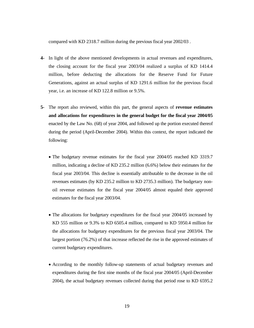compared with KD 2318.7 million during the previous fiscal year 2002/03 .

- **4-** In light of the above mentioned developments in actual revenues and expenditures, the closing account for the fiscal year 2003/04 realized a surplus of KD 1414.4 million, before deducting the allocations for the Reserve Fund for Future Generations, against an actual surplus of KD 1291.6 million for the previous fiscal year, i.e. an increase of KD 122.8 million or 9.5%.
- **5-** The report also reviewed, within this part, the general aspects of **revenue estimates and allocations for expenditures in the general budget for the fiscal year 2004/05**  enacted by the Law No. (68) of year 2004, and followed up the portion executed thereof during the period (April-December 2004). Within this context, the report indicated the following:
	- The budgetary revenue estimates for the fiscal year 2004/05 reached KD 3319.7 million, indicating a decline of KD 235.2 million (6.6%) below their estimates for the fiscal year 2003/04. This decline is essentially attributable to the decrease in the oil revenues estimates (by KD 235.2 million to KD 2735.3 million). The budgetary nonoil revenue estimates for the fiscal year 2004/05 almost equaled their approved estimates for the fiscal year 2003/04.
	- The allocations for budgetary expenditures for the fiscal year 2004/05 increased by KD 555 million or 9.3% to KD 6505.4 million, compared to KD 5950.4 million for the allocations for budgetary expenditures for the previous fiscal year 2003/04. The largest portion (76.2%) of that increase reflected the rise in the approved estimates of current budgetary expenditures.
	- According to the monthly follow-up statements of actual budgetary revenues and expenditures during the first nine months of the fiscal year 2004/05 (April-December 2004), the actual budgetary revenues collected during that period rose to KD 6595.2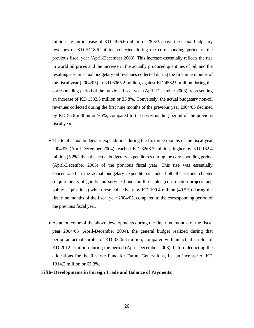million, i.e. an increase of KD 1476.6 million or 28.8% above the actual budgetary revenues of KD 5118.6 million collected during the corresponding period of the previous fiscal year (April-December 2003). This increase essentially reflects the rise in world oil prices and the increase in the actually produced quantities of oil, and the resulting rise in actual budgetary oil revenues collected during the first nine months of the fiscal year (2004/05) to KD 6065.2 million, against KD 4532.9 million during the corresponding period of the previous fiscal year (April-December 2003), representing an increase of KD 1532.3 million or 33.8%. Conversely, the actual budgetary non-oil revenues collected during the first nine months of the previous year 2004/05 declined by KD 55.6 million or 9.5%, compared to the corresponding period of the previous fiscal year.

- The total actual budgetary expenditures during the first nine months of the fiscal year 2004/05 (April-December 2004) reached KD 3268.7 million, higher by KD 162.4 million (5.2%) than the actual budgetary expenditures during the corresponding period (April-December 2003) of the previous fiscal year. This rise was essentially concentrated in the actual budgetary expenditures under both the second chapter (requirements of goods and services) and fourth chapter (construction projects and public acquisitions) which rose collectively by KD 199.4 million (49.5%) during the first nine months of the fiscal year 2004/05, compared to the corresponding period of the previous fiscal year.
- As an outcome of the above developments during the first nine months of the fiscal year 2004/05 (April-December 2004), the general budget realized during that period an actual surplus of KD 3326.5 million, compared with an actual surplus of KD 2012.2 million during the period (April-December 2003), before deducting the allocations for the Reserve Fund for Future Generations, i.e. an increase of KD 1314.2 million or 65.3%.

## **Fifth- Developments in Foreign Trade and Balance of Payments:**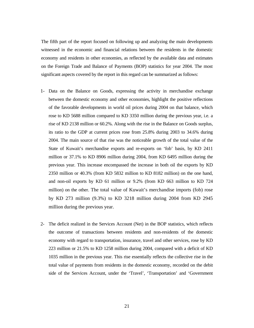The fifth part of the report focused on following up and analyzing the main developments witnessed in the economic and financial relations between the residents in the domestic economy and residents in other economies, as reflected by the available data and estimates on the Foreign Trade and Balance of Payments (BOP) statistics for year 2004. The most significant aspects covered by the report in this regard can be summarized as follows:

- 1- Data on the Balance on Goods, expressing the activity in merchandise exchange between the domestic economy and other economies, highlight the positive reflections of the favorable developments in world oil prices during 2004 on that balance, which rose to KD 5688 million compared to KD 3350 million during the previous year, i.e. a rise of KD 2138 million or 60.2%. Along with the rise in the Balance on Goods surplus, its ratio to the GDP at current prices rose from 25.8% during 2003 to 34.6% during 2004. The main source of that rise was the noticeable growth of the total value of the State of Kuwait's merchandise exports and re-exports on 'fob' basis, by KD 2411 million or 37.1% to KD 8906 million during 2004, from KD 6495 million during the previous year. This increase encompassed the increase in both oil the exports by KD 2350 million or 40.3% (from KD 5832 million to KD 8182 million) on the one hand, and non-oil exports by KD 61 million or 9.2% (from KD 663 million to KD 724 million) on the other. The total value of Kuwait's merchandise imports (fob) rose by KD 273 million (9.3%) to KD 3218 million during 2004 from KD 2945 million during the previous year.
- 2- The deficit realized in the Services Account (Net) in the BOP statistics, which reflects the outcome of transactions between residents and non-residents of the domestic economy with regard to transportation, insurance, travel and other services, rose by KD 223 million or 21.5% to KD 1258 million during 2004, compared with a deficit of KD 1035 million in the previous year. This rise essentially reflects the collective rise in the total value of payments from residents in the domestic economy, recorded on the debit side of the Services Account, under the 'Travel', 'Transportation' and 'Government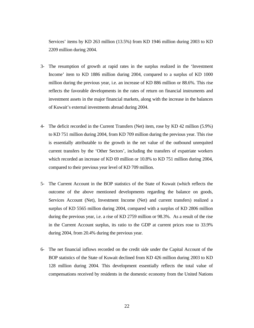Services' items by KD 263 million (13.5%) from KD 1946 million during 2003 to KD 2209 million during 2004.

- 3- The resumption of growth at rapid rates in the surplus realized in the 'Investment Income' item to KD 1886 million during 2004, compared to a surplus of KD 1000 million during the previous year, i.e. an increase of KD 886 million or 88.6%. This rise reflects the favorable developments in the rates of return on financial instruments and investment assets in the major financial markets, along with the increase in the balances of Kuwait's external investments abroad during 2004.
- 4- The deficit recorded in the Current Transfers (Net) item, rose by KD 42 million (5.9%) to KD 751 million during 2004, from KD 709 million during the previous year. This rise is essentially attributable to the growth in the net value of the outbound unrequited current transfers by the 'Other Sectors', including the transfers of expatriate workers which recorded an increase of KD 69 million or 10.8% to KD 751 million during 2004, compared to their previous year level of KD 709 million.
- 5- The Current Account in the BOP statistics of the State of Kuwait (which reflects the outcome of the above mentioned developments regarding the balance on goods, Services Account (Net), Investment Income (Net) and current transfers) realized a surplus of KD 5565 million during 2004, compared with a surplus of KD 2806 million during the previous year, i.e. a rise of KD 2759 million or 98.3%. As a result of the rise in the Current Account surplus, its ratio to the GDP at current prices rose to 33.9% during 2004, from 20.4% during the previous year.
- 6- The net financial inflows recorded on the credit side under the Capital Account of the BOP statistics of the State of Kuwait declined from KD 426 million during 2003 to KD 128 million during 2004. This development essentially reflects the total value of compensations received by residents in the domestic economy from the United Nations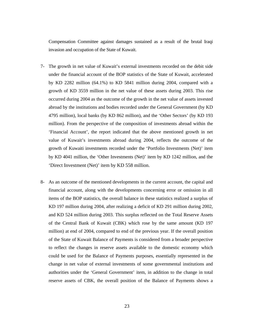Compensation Committee against damages sustained as a result of the brutal Iraqi invasion and occupation of the State of Kuwait.

- 7- The growth in net value of Kuwait's external investments recorded on the debit side under the financial account of the BOP statistics of the State of Kuwait, accelerated by KD 2282 million (64.1%) to KD 5841 million during 2004, compared with a growth of KD 3559 million in the net value of these assets during 2003. This rise occurred during 2004 as the outcome of the growth in the net value of assets invested abroad by the institutions and bodies recorded under the General Government (by KD 4795 million), local banks (by KD 862 million), and the 'Other Sectors' (by KD 193 million). From the perspective of the composition of investments abroad within the 'Financial Account', the report indicated that the above mentioned growth in net value of Kuwait's investments abroad during 2004, reflects the outcome of the growth of Kuwaiti investments recorded under the 'Portfolio Investments (Net)' item by KD 4041 million, the 'Other Investments (Net)' item by KD 1242 million, and the 'Direct Investment (Net)' item by KD 558 million.
- 8- As an outcome of the mentioned developments in the current account, the capital and financial account, along with the developments concerning error or omission in all items of the BOP statistics, the overall balance in these statistics realized a surplus of KD 197 million during 2004, after realizing a deficit of KD 291 million during 2002, and KD 524 million during 2003. This surplus reflected on the Total Reserve Assets of the Central Bank of Kuwait (CBK) which rose by the same amount (KD 197 million) at end of 2004, compared to end of the previous year. If the overall position of the State of Kuwait Balance of Payments is considered from a broader perspective to reflect the changes in reserve assets available to the domestic economy which could be used for the Balance of Payments purposes, essentially represented in the change in net value of external investments of some governmental institutions and authorities under the 'General Government' item, in addition to the change in total reserve assets of CBK, the overall position of the Balance of Payments shows a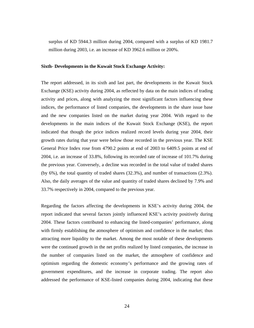surplus of KD 5944.3 million during 2004, compared with a surplus of KD 1981.7 million during 2003, i.e. an increase of KD 3962.6 million or 200%.

# **Sixth- Developments in the Kuwait Stock Exchange Activity:**

The report addressed, in its sixth and last part, the developments in the Kuwait Stock Exchange (KSE) activity during 2004, as reflected by data on the main indices of trading activity and prices, along with analyzing the most significant factors influencing these indices, the performance of listed companies, the developments in the share issue base and the new companies listed on the market during year 2004. With regard to the developments in the main indices of the Kuwait Stock Exchange (KSE), the report indicated that though the price indices realized record levels during year 2004, their growth rates during that year were below those recorded in the previous year. The KSE General Price Index rose from 4790.2 points at end of 2003 to 6409.5 points at end of 2004, i.e. an increase of 33.8%, following its recorded rate of increase of 101.7% during the previous year. Conversely, a decline was recorded in the total value of traded shares (by 6%), the total quantity of traded shares (32.3%), and number of transactions (2.3%). Also, the daily averages of the value and quantity of traded shares declined by 7.9% and 33.7% respectively in 2004, compared to the previous year.

Regarding the factors affecting the developments in KSE's activity during 2004, the report indicated that several factors jointly influenced KSE's activity positively during 2004. These factors contributed to enhancing the listed-companies' performance, along with firmly establishing the atmosphere of optimism and confidence in the market; thus attracting more liquidity to the market. Among the most notable of these developments were the continued growth in the net profits realized by listed companies, the increase in the number of companies listed on the market, the atmosphere of confidence and optimism regarding the domestic economy's performance and the growing rates of government expenditures, and the increase in corporate trading. The report also addressed the performance of KSE-listed companies during 2004, indicating that these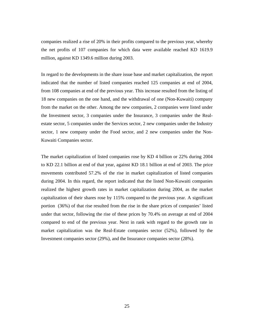companies realized a rise of 20% in their profits compared to the previous year, whereby the net profits of 107 companies for which data were available reached KD 1619.9 million, against KD 1349.6 million during 2003.

In regard to the developments in the share issue base and market capitalization, the report indicated that the number of listed companies reached 125 companies at end of 2004, from 108 companies at end of the previous year. This increase resulted from the listing of 18 new companies on the one hand, and the withdrawal of one (Non-Kuwaiti) company from the market on the other. Among the new companies, 2 companies were listed under the Investment sector, 3 companies under the Insurance, 3 companies under the Realestate sector, 5 companies under the Services sector, 2 new companies under the Industry sector, 1 new company under the Food sector, and 2 new companies under the Non-Kuwaiti Companies sector.

The market capitalization of listed companies rose by KD 4 billion or 22% during 2004 to KD 22.1 billion at end of that year, against KD 18.1 billion at end of 2003. The price movements contributed 57.2% of the rise in market capitalization of listed companies during 2004. In this regard, the report indicated that the listed Non-Kuwaiti companies realized the highest growth rates in market capitalization during 2004, as the market capitalization of their shares rose by 115% compared to the previous year. A significant portion (36%) of that rise resulted from the rise in the share prices of companies' listed under that sector, following the rise of these prices by 70.4% on average at end of 2004 compared to end of the previous year. Next in rank with regard to the growth rate in market capitalization was the Real-Estate companies sector (52%), followed by the Investment companies sector (29%), and the Insurance companies sector (28%).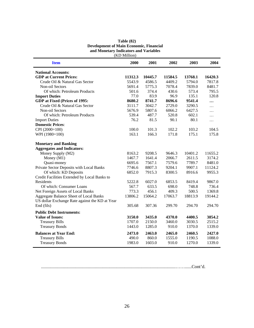| (KD Million)                                   |         |         |         |         |          |  |  |  |
|------------------------------------------------|---------|---------|---------|---------|----------|--|--|--|
| <b>Item</b>                                    | 2000    | 2001    | 2002    | 2003    | 2004     |  |  |  |
| <b>National Accounts:</b>                      |         |         |         |         |          |  |  |  |
| <b>GDP</b> at Current Prices:                  | 11312.3 | 10445.7 | 11584.5 | 13768.1 | 16420.3  |  |  |  |
| Crude Oil & Natural Gas Sector                 | 5543.9  | 4586.5  | 4409.2  | 5794.0  | 7817.8   |  |  |  |
| Non-oil Sectors                                | 5691.4  | 5775.3  | 7078.4  | 7839.0  | 8481.7   |  |  |  |
| Of which: Petroleum Products                   | 501.6   | 374.4   | 430.6   | 573.4   | 795.5    |  |  |  |
| <b>Import Duties</b>                           | 77.0    | 83.9    | 96.9    | 135.1   | 120.8    |  |  |  |
| GDP at Fixed (Prices of 1995:                  | 8680.2  | 8741.7  | 8696.6  | 9541.4  | $\cdots$ |  |  |  |
| Crude Oil & Natural Gas Sector                 | 3111.7  | 3042.7  | 2729.0  | 3290.5  | $\cdots$ |  |  |  |
| Non-oil Sectors                                | 5676.9  | 5807.6  | 6066.2  | 6427.5  | $\cdots$ |  |  |  |
| Of which: Petroleum Products                   | 539.4   | 487.7   | 520.8   | 602.1   | $\cdots$ |  |  |  |
| <b>Import Duties</b>                           | 76.2    | 81.5    | 90.1    | 80.1    | $\cdots$ |  |  |  |
| <b>Domestic Prices:</b>                        |         |         |         |         |          |  |  |  |
| CPI (2000=100)                                 | 100.0   | 101.3   | 102.2   | 103.2   | 104.5    |  |  |  |
| WPI (1980=100)                                 | 163.1   | 166.3   | 171.8   | 175.1   | 175.8    |  |  |  |
| <b>Monetary and Banking</b>                    |         |         |         |         |          |  |  |  |
| <b>Aggregates and Indicators:</b>              |         |         |         |         |          |  |  |  |
| Money Supply (M2)                              | 8163.2  | 9208.5  | 9646.3  | 10401.2 | 11655.2  |  |  |  |
| Money (M1)                                     | 1467.7  | 1641.4  | 2066.7  | 2611.5  | 3174.2   |  |  |  |
| Quasi-money                                    | 6695.6  | 7567.1  | 7579.6  | 7789.7  | 8481.0   |  |  |  |
| Private Sector Deposits with Local Banks       | 7746.6  | 8807.3  | 9204.1  | 9907.1  | 11124.2  |  |  |  |
| Of which: KD Deposits                          | 6852.0  | 7915.3  | 8300.5  | 8916.6  | 9955.3   |  |  |  |
| Credit Facilities Extended by Local Banks to   |         |         |         |         |          |  |  |  |
| Residents                                      | 5222.8  | 6027.0  | 6853.5  | 8419.4  | 9867.0   |  |  |  |
| Of which: Consumer Loans                       | 567.7   | 633.5   | 698.0   | 748.8   | 736.4    |  |  |  |
| Net Foreign Assets of Local Banks              | 773.3   | 456.1   | 409.3   | 500.5   | 1369.8   |  |  |  |
| Aggregate Balance Sheet of Local Banks         | 13806.2 | 15064.2 | 17063.7 | 18813.9 | 19144.2  |  |  |  |
| US dollar Exchange Rate against the KD at Year |         |         |         |         |          |  |  |  |
| End (fils)                                     | 305.68  | 307.36  | 299.70  | 294.70  | 294.70   |  |  |  |
| <b>Public Debt Instruments:</b>                |         |         |         |         |          |  |  |  |
| <b>Value of Issues:</b>                        | 3150.0  | 3435.0  | 4370.0  | 4400.5  | 3854.2   |  |  |  |
| <b>Treasury Bills</b>                          | 1707.0  | 2150.0  | 3460.0  | 3030.5  | 2515.2   |  |  |  |
| <b>Treasury Bonds</b>                          | 1443.0  | 1285.0  | 910.0   | 1370.0  | 1339.0   |  |  |  |
| <b>Balances at Year End:</b>                   | 2473.0  | 2463.0  | 2465.0  | 2460.5  | 2427.0   |  |  |  |
| <b>Treasury Bills</b>                          | 490.0   | 860.0   | 1555.0  | 1190.5  | 1088.0   |  |  |  |
| <b>Treasury Bonds</b>                          | 1983.0  | 1603.0  | 910.0   | 1270.0  | 1339.0   |  |  |  |
|                                                |         |         |         |         |          |  |  |  |

| Table $(82)$                            |
|-----------------------------------------|
| Development of Main Economic, Financial |
| and Monetary Indicators and Variables   |

......................................................................................................................……......Cont'd.